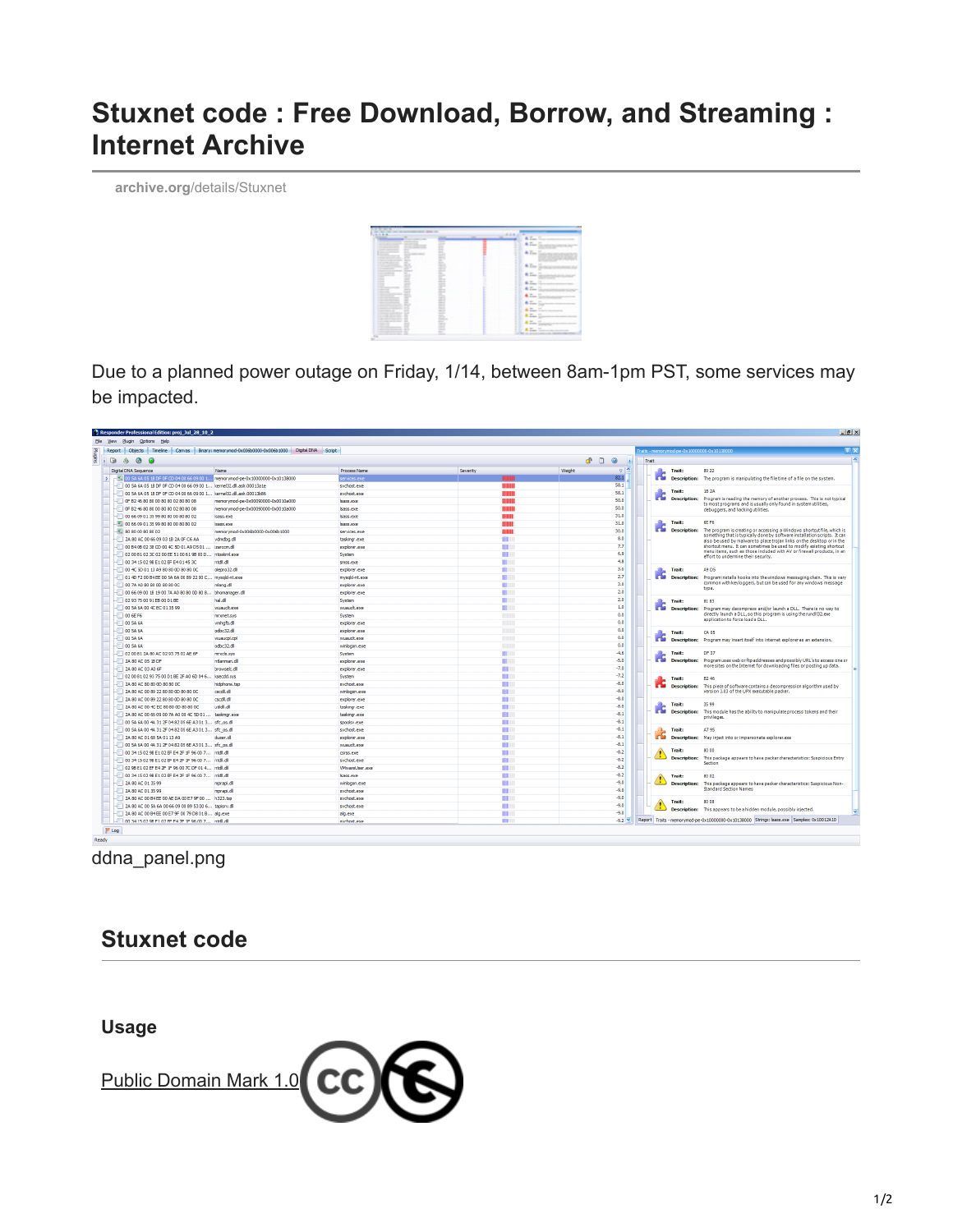# **Stuxnet code : Free Download, Borrow, and Streaming : Internet Archive**

**archive.org**[/details/Stuxnet](https://archive.org/details/Stuxnet)



Due to a planned power outage on Friday, 1/14, between 8am-1pm PST, some services may be impacted.

| Elle View Plugin Options Help                                                       |                                                                                           |                     |                |                              |       |                                            |                                                                                                                                                                                                                                                                                                                                                                                                                                |
|-------------------------------------------------------------------------------------|-------------------------------------------------------------------------------------------|---------------------|----------------|------------------------------|-------|--------------------------------------------|--------------------------------------------------------------------------------------------------------------------------------------------------------------------------------------------------------------------------------------------------------------------------------------------------------------------------------------------------------------------------------------------------------------------------------|
|                                                                                     | Report Objects Timeline Canvas Binary: memorymod-0x006b0000-0x006b1000 Digital DNA Script |                     |                |                              |       | raits - memorymod-pe-0x10000000-0x10138000 |                                                                                                                                                                                                                                                                                                                                                                                                                                |
| 0 8 0 0                                                                             |                                                                                           |                     |                | $\circledcirc$<br>d D<br>is. | Trait |                                            |                                                                                                                                                                                                                                                                                                                                                                                                                                |
| Digital DNA Sequence                                                                | <b>Name</b>                                                                               | <b>Process Name</b> | Severity       | $\frac{1}{2}$<br>Weight      |       | Trait:                                     | 89 22                                                                                                                                                                                                                                                                                                                                                                                                                          |
| > 7 2 2 00 SA 6A 05 18 DF OF CD 04 00 66 09 00 1 memorymod-pe-0x10000000-0x10138000 |                                                                                           | ervices, exe        |                | 82.1                         |       | r S                                        | Description: The program is manipulating the file time of a file on the system.                                                                                                                                                                                                                                                                                                                                                |
| 00 5A 6A 05 1B DF OF CD 04 00 66 09 00 1 kernel32.dll.asir.00013a1e                 |                                                                                           | sychost.exe         | WWW            | 58.1                         |       |                                            |                                                                                                                                                                                                                                                                                                                                                                                                                                |
| 00 5A 6A 05 1B DF OF CD 04 00 66 09 00 1 kernel32.dl.asir.00013b86                  |                                                                                           | sychost.exe         | WWW            | 58.1                         |       | Trait:                                     | 1B <sub>2</sub> A<br>Description: Program is reading the memory of another process. This is not typical<br>to most programs and is usually only found in system utilities,<br>debuggers, and hacking utilities.                                                                                                                                                                                                                |
| $-$ 0F B2 46 80 80 00 80 80 02 80 80 08                                             | memorymod-pe-0x00090000-0x0010a000                                                        | sass.exe            | WWW            | 50.0                         |       | r.                                         |                                                                                                                                                                                                                                                                                                                                                                                                                                |
| OF B2 46 80 80 00 80 80 02 80 80 08                                                 | memorymod-pe-0x00090000-0x0010a000                                                        | isass.exe           | WWW            | 50.0                         |       |                                            |                                                                                                                                                                                                                                                                                                                                                                                                                                |
| 006609013599808000808002                                                            | Isass.exe                                                                                 | sass.exe            | WWW            | 31.0                         |       |                                            |                                                                                                                                                                                                                                                                                                                                                                                                                                |
| 16 00 66 09 01 35 99 80 80 00 80 80 02                                              | sass.exe                                                                                  | isass.exe           | WWW            | 31.0                         |       | Trait:                                     | 6F F6<br>The program is creating or accessing a Windows shortcut file, which is<br>something that is typically done by software installation scripts. It can<br>also be used by malware to place trotan links on the desktop or in the<br>shortcut menu. It can sometimes be used to modify existing shortcut<br>menu items, such as those included with AV or firewall products, in an<br>effort to undermine their security. |
| $\sqrt{12}$ 80 80 00 80 80 02                                                       | memorymod-0x006b0000-0x006b1000                                                           | services.exe        | IIIIII         | 30.0                         |       | In S<br><b>Description:</b>                |                                                                                                                                                                                                                                                                                                                                                                                                                                |
| 2A 80 AC 00 66 09 03 1B 2A 0F C6 AA                                                 | vdmdbg.dl                                                                                 | taskmor.exe         | HH II          | 8.0                          |       |                                            |                                                                                                                                                                                                                                                                                                                                                                                                                                |
| 00 B4 08 02 38 CD 00 4C 5D 01 A9 D5 01  izarccm.dl                                  |                                                                                           | explorer.exe        | $\mathbf{m}$   | 7.7                          |       |                                            |                                                                                                                                                                                                                                                                                                                                                                                                                                |
| 02 00 B1 02 3C 02 00 EE 51 00 61 98 00 D ntoskrnl.exe                               |                                                                                           | System              | <b>IIII</b>    | 6.9                          |       |                                            |                                                                                                                                                                                                                                                                                                                                                                                                                                |
| 00 34 15 02 98 E1 02 EF E4 01 45 3C                                                 | ntdll.dll                                                                                 | smss.exe            | <b>THE R</b>   | 4.8                          |       |                                            |                                                                                                                                                                                                                                                                                                                                                                                                                                |
| $-100$ 4C 5D 01 13 A9 80 80 0D 80 80 0C                                             | olepro32.dll                                                                              | explorer.exe        | <b>III</b> III | 3.0                          |       | Trait:                                     | <b>A9 D5</b><br>Program installs hooks into the windows messaging chain. This is very<br>common with keyloggers, but can be used for any windows message<br>type.                                                                                                                                                                                                                                                              |
| 01 40 F2 00 B4 EE 00 SA 6A 00 89 22 00 C mysqld-nt.exe                              |                                                                                           | mysold-nt.exe       | <b>THE R</b>   | 2.7                          |       | <b>Description:</b>                        |                                                                                                                                                                                                                                                                                                                                                                                                                                |
| $-1007A A080800D80800C$                                                             | mlang.dll                                                                                 | explorer, exe       | <b>III</b> III | 2.0                          |       |                                            |                                                                                                                                                                                                                                                                                                                                                                                                                                |
| 00 66 09 00 1B 19 00 7A A0 80 80 0D 80 8 bhomanager.dl                              |                                                                                           | explorer.exe        | <b>THE R</b>   | 2.0                          |       |                                            |                                                                                                                                                                                                                                                                                                                                                                                                                                |
| 02 93 75 00 91 EB 00 D1 BE                                                          | halldl                                                                                    | System              | <b>THE R</b>   | 2.0                          |       | Trait:                                     | 8183<br>Program may decompress and/or launch a DLL. There is no way to<br>directly launch a DLL, so this program is using the rundli32.exe<br>application to force load a DLL.                                                                                                                                                                                                                                                 |
| $-005A6A004CEC013599$                                                               | wuaudt.exe                                                                                | wuaudt.exe          | <b>THE R</b>   | 1.0                          |       | r.S<br><b>Description:</b>                 |                                                                                                                                                                                                                                                                                                                                                                                                                                |
| $-$ 00 6E F6                                                                        | mrxnet.sys                                                                                | System              |                | 0.0                          |       |                                            |                                                                                                                                                                                                                                                                                                                                                                                                                                |
| $-1005A6A$                                                                          | whigfs.dll                                                                                | explorer.exe        |                | 0.0                          |       |                                            |                                                                                                                                                                                                                                                                                                                                                                                                                                |
| $-100$ SA 6A                                                                        | odbc32.dll                                                                                | explorer.exe        |                | 0.0                          |       |                                            |                                                                                                                                                                                                                                                                                                                                                                                                                                |
| $-005A6A$                                                                           | wuaucol.col                                                                               | wuaucit.exe         |                | 0.0                          |       | Trait:                                     | CA 05<br>Description: Program may insert itself into internet explorer as an extension.                                                                                                                                                                                                                                                                                                                                        |
| $-100$ SA 6A                                                                        | odbc32.dll                                                                                |                     | <b>HILLIE</b>  | 0.0                          |       | <b>CON</b>                                 |                                                                                                                                                                                                                                                                                                                                                                                                                                |
|                                                                                     |                                                                                           | winlogon.exe        |                | $-4.6$                       |       | Trait:                                     | DF 37                                                                                                                                                                                                                                                                                                                                                                                                                          |
| 02 00 B1 2A 80 AC 02 93 75 02 AE 6F                                                 | mrxds.sys                                                                                 | System              |                | $-5.0$                       |       | <b>Description:</b>                        | Program uses web or ftp addresses and possibly URL's to access one or<br>more sites on the Internet for downloading files or posting up data.                                                                                                                                                                                                                                                                                  |
| $ 2A$ 80 AC 05 1B DF                                                                | ntlanman.dll                                                                              | explorer.exe        | <b>HILL</b>    | $-7.0$                       |       |                                            |                                                                                                                                                                                                                                                                                                                                                                                                                                |
| $-2480AC03AD6F$                                                                     | browselc.dll                                                                              | explorer.exe        | IIII II        | $-7.2$                       |       |                                            |                                                                                                                                                                                                                                                                                                                                                                                                                                |
| 02 00 B1 02 93 75 00 D1 BE 2F A0 6D 04 6 ksecdd.sys                                 |                                                                                           | System              | <b>IIII</b>    | $-8.0$                       |       | Trait:                                     | B2-46<br>Description: This piece of software contains a decompression algorithm used by<br>version 3.03 of the UPX executable packer.                                                                                                                                                                                                                                                                                          |
| $ \frac{1}{2}$ 2A 80 AC 80 80 00 80 80 0C                                           | hidphone, tsp.                                                                            | sychost.exe         |                |                              |       |                                            |                                                                                                                                                                                                                                                                                                                                                                                                                                |
| 2A 80 AC 00 89 22 80 80 0D 80 80 0C                                                 | cscdl.dl                                                                                  | winlogon.exe        | <b>IIII</b>    | $-8.0$                       |       |                                            |                                                                                                                                                                                                                                                                                                                                                                                                                                |
| 2A 80 AC 00 89 22 80 80 0D 80 80 0C                                                 | cscdLdl                                                                                   | explorer.exe        | HH I           | $-8.0$                       |       | Trait:                                     | 35 99<br>This module has the ability to manipulate process tokens and their<br>privileges.                                                                                                                                                                                                                                                                                                                                     |
| 2A 80 AC 00 4C EC 80 80 0D 80 80 0C                                                 | utidi.dl                                                                                  | taskmor.exe         | <b>IIII</b>    | $-8.0$                       |       | <b>Description:</b>                        |                                                                                                                                                                                                                                                                                                                                                                                                                                |
| 2A 80 AC 00 66 09 00 7A A0 00 4C 5D 01  taskmgr.exe                                 |                                                                                           | taskmor.exe         | $\mathbf{m}$   | $-8.1$                       |       |                                            |                                                                                                                                                                                                                                                                                                                                                                                                                                |
| 00 5A 6A 00 4A 31 2F 04 82 05 6E A3 01 3 sfc os.dl                                  |                                                                                           | spoolsv.exe         | <b>IIII</b>    | $-8.1$                       |       |                                            |                                                                                                                                                                                                                                                                                                                                                                                                                                |
| 00 5A 6A 00 4A 31 2F 04 82 05 6E A3 01 3 sfc os.dl                                  |                                                                                           | sychost.exe         | <b>HILL</b>    | $-8.1$                       |       | Trait:                                     | A7.95                                                                                                                                                                                                                                                                                                                                                                                                                          |
| $-2480$ AC 01 68 5A 01 13 A9                                                        | duser.dll                                                                                 | explorer.exe        | HH I           | $-8.1$                       |       |                                            | Description: May infect into or impersonate explorer.exe                                                                                                                                                                                                                                                                                                                                                                       |
| 00 5A 6A 00 4A 31 2F 04 82 05 6E A3 01 3 sfc os.dl                                  |                                                                                           | wuaudt.exe          | HH I           | $-8.1$                       |       | Trait:                                     | 80.00<br>This package appears to have packer characteristics: Suspicious Entry<br>Section                                                                                                                                                                                                                                                                                                                                      |
| 00 34 15 02 98 E1 02 EF E4 2F 1F 96 00 7 ntdl.dl                                    |                                                                                           | csrss.exe           | IIII I         | $-8.2$                       |       | <b>Description:</b>                        |                                                                                                                                                                                                                                                                                                                                                                                                                                |
| - 00 34 15 02 98 E1 02 EF E4 2F 1F 96 00 7 ntdl.dl                                  |                                                                                           | sychost.exe         | IIII I         | $-8.2$                       |       |                                            |                                                                                                                                                                                                                                                                                                                                                                                                                                |
| 02 98 E102 EF E4 2F 1F 96 00 7C DF 01 4 ntdl.dl                                     |                                                                                           | WwareUser.exe       | III I          | $-8.2$                       |       |                                            |                                                                                                                                                                                                                                                                                                                                                                                                                                |
| 00 34 15 02 98 E1 02 EF E4 2F 1F 96 00 7 ntdl.dl                                    |                                                                                           | Isass.exe           | III I          | $-8.2$                       |       | Trait:                                     | 80 02<br>This package appears to have packer characteristics: Suspicious Non-<br><b>Standard Section Names</b>                                                                                                                                                                                                                                                                                                                 |
| $-2480AC013599$                                                                     | mprapi.dll                                                                                | winlogon.exe        | III I          | $-9.0$                       |       | <b>Description:</b>                        |                                                                                                                                                                                                                                                                                                                                                                                                                                |
| $-2480AC013599$                                                                     | morapi.dl                                                                                 | sychost.exe         | III I          | $-9.0$                       |       |                                            |                                                                                                                                                                                                                                                                                                                                                                                                                                |
| 2A 80 AC 00 B4 EE 00 AE DA 00 E7 9F 00  h323.tsp                                    |                                                                                           | sychost.exe         | III I          | $-9.0$                       |       | Trait:                                     | 80 08<br>Description: This appears to be a hidden module, possibly inlected.                                                                                                                                                                                                                                                                                                                                                   |
| 2A 80 AC 00 5A 6A 00 66 09 00 89 53 00 6 tapisty.dll                                |                                                                                           | sychost.exe         |                | $-9.0$                       |       |                                            |                                                                                                                                                                                                                                                                                                                                                                                                                                |
| 2A 80 AC 00 B4 EE 00 E7 9F 00 79 D8 01 B alg.exe                                    |                                                                                           | alg.exe             | <b>IIII</b>    | $-9.0$                       |       |                                            |                                                                                                                                                                                                                                                                                                                                                                                                                                |
| -10 00:34:15:02:98 E1:02 FE E4:2E 1E 96:00:7 ntdll.dl                               |                                                                                           | sychost.exe         | <b>HILL</b>    | $-9.2$ $-$                   |       |                                            | Report Traits - memorymod-pe-0x10000000-0x10138000 Strings: Isass.exe Samples: 0x10012A10                                                                                                                                                                                                                                                                                                                                      |

ddna\_panel.png

### **Stuxnet code**